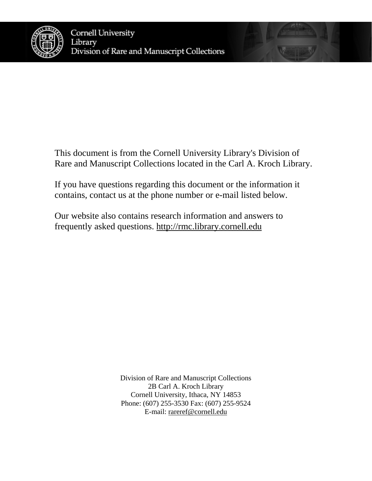

This document is from the Cornell University Library's Division of Rare and Manuscript Collections located in the Carl A. Kroch Library.

If you have questions regarding this document or the information it contains, contact us at the phone number or e-mail listed below.

Our website also contains research information and answers to frequently asked questions. [http://rmc.library.cornell.edu](http://rmc.library.cornell.edu/)

> Division of Rare and Manuscript Collections 2B Carl A. Kroch Library Cornell University, Ithaca, NY 14853 Phone: (607) 255-3530 Fax: (607) 255-9524 E-mail: [rareref@cornell.edu](mailto:rareref@cornell.edu)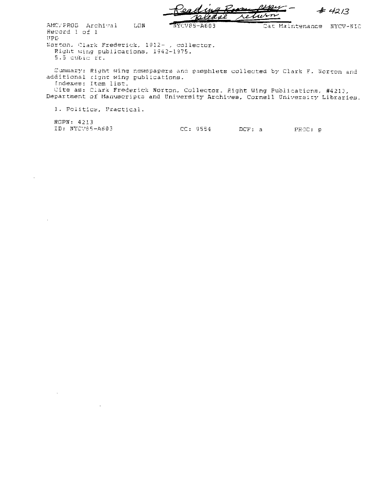$#42/3$ uisn ast

Cat Maintenance NYCV-NIC

AMC/PROD Archival LON Record 1 of 1 UPD

Norton, Clark Frederick, 1912- , collector. Right wing publications, 1942-1975. 5.5 cubic ft.

Eummary: Right wing newspapers and pamphlets collected by Clark F. Norton and additional right wing publications. Indexes: Item list.

 $NYCV85-AG03$ 

Cite as: Clark Frederick Norton, Collector. Right Wing Publications, #4213, Department of Manuscripts and University Archives, Cornell University Libraries.

1. Politics, Practical.

 $\mathbf{r}$ 

RGPN: 4213 IB: NYCV85-A603

 $\ddot{\phantom{a}}$ 

 $CC: 9554$ DCF: a PROC: p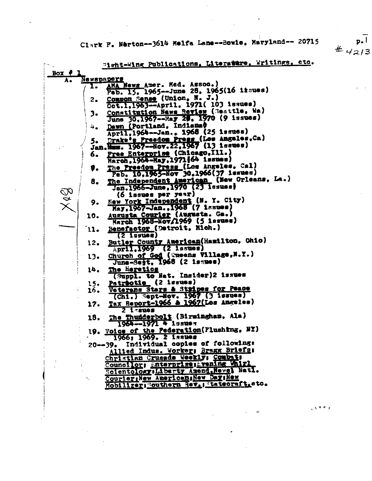Clark F. Nerton--3614 Melfa Lane--Bowie, Maryland-- 20715

"ight-Wing Publications, Literature, Writings, etc. Box  $#$ Newspapers AMA News Amer. Med. Assoc.)<br>Peb. 15. 1965--June 28. 1965(16 itsues) Ι. Common Sense (Union, N. J.)<br>Oct.1,1963--April, 1971( 103 issues)  $2.$ Constitution News Review (Seattle, Wa)  $3.$ June 30,1967--Ray 20, 1970 (9 issues) Dawn (Portland, Indiana) 4. April.1964-Jan., 1968 (25 issues) 5. <u>Prake's Presdom Press</u> (Les Angeles, Ca)<br>Jan. Num. 1967--Nov. 22, 1967 (13 issues) Pres Enterprise (Chicago, Ill.) 6. Haroh, 1964-Hay, 1971 [64 issues) The Preedom Press (Los Angeles, Cal)<br>Peb. 10,1965-Nov 30,1966(37 issues) 9. The Independent American (New Orleans, La.) 8. Jan.1966-June, 1970 (23 lasues) (6 issues per year) New York Independent (N. Y. City) 9. May, 1967-Jan., 1965 (7 issues) Augusta Courier (Augusta. Ga.)<br>March 1968-Nov/1969 (5 issues) 10. Benefactor (Detroit, Mich.)  $11.$  $(2$  issues) Butler County American (Hamilton, Ohio)  $12.$ April.1969 (2 issues) Church of God (wheens Village, N.Y.)  $13-$ The Heretics 14. (Suppl. to Mat. Insider)2 issues Patriotic (2 lesues) 15. Veterans Stars & Stripes for Peace 16. Tax Report-1966 & 1967(Los Angeles)  $17.$  $21$  trues The Thuiderbolt (Birmingham, Ala)<br>1964--1971 4 issues 18. 19. Voice of the Pederation (Flushing, NY) 1966; 1969. 2 1явиев 20--39. Individual copies of following: Allied Indus. Worker: Bragg Briefs: Christian Crusade Weekly: Combat: Councilor: Enterprise; Evening Whirl Scientology Liberty Amend, Newsl NetI. CourieriNew AmericansNew DaysNew Mobilizer Southern Rev. Rateoraft, etc.

 $p.$  $#$  4213

 $5 + 4 + 7$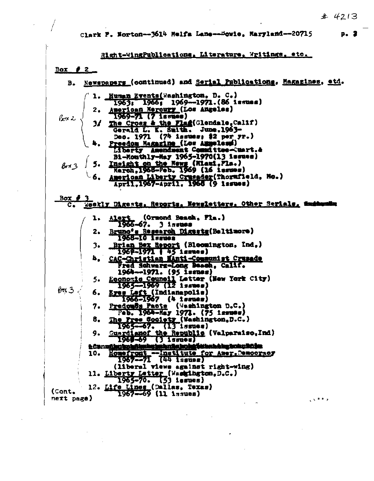Clark P. Norton--3614 Helfa Lane--Bowie. Harrland--20715

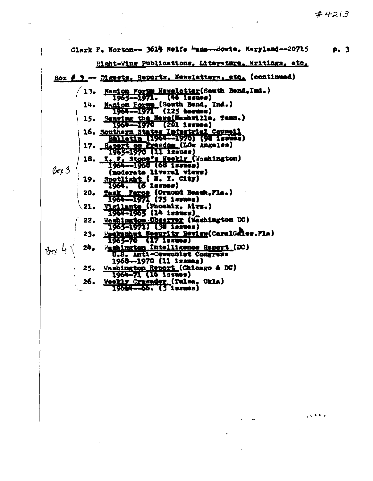$#4213$ 

 $6.5 + 7.7$ 

|                          |     | Clark P. Norton-- 3610 Nelfa "ane--Sowie, Maryland--20715                                       | p. 3 |
|--------------------------|-----|-------------------------------------------------------------------------------------------------|------|
|                          |     | Right-Wing Publications, Literature, Writings, etc.                                             |      |
|                          |     | Box # 3 -- Digests, Reports, Newsletters, etc. (continued)                                      |      |
|                          |     | 13. Hamion Forum Newslatter(South Bend, Ind.)                                                   |      |
|                          |     | $1965 - 1971.$ (46 issues)<br>14. Manion Forms (South Bend. Ind.)                               |      |
|                          |     | $1964 - 1971$ (125 heruss)<br>15. Sensing the News(Nashville, Temn.)<br>IG64--1970 (201 issues) |      |
|                          |     | 16. Southern States Industrial Council<br>Bhiletin (1964--1970) (98 issues)                     |      |
|                          |     | 17. Raport on Preedom (LOs Angeles)<br>1965–1970 (11 issues)                                    |      |
|                          |     | 18. I. P. Stone's Weekly (Washington)<br>1964--1965 (68 issues)                                 |      |
| $\beta$ ox 3             |     | (moderate liveral views)<br>19. Spotlight $\left($ M. Y. City)                                  |      |
|                          |     | 1964. (б ізвифа)                                                                                |      |
|                          |     | 20. Task Force (Ormond Beach.Fla.)<br>$1964 - 1971 (7510000)$                                   |      |
|                          |     | (21. <u>Vigilante (</u> Phoenix, Airx.)<br>"1964-1963 (14 issues)                               |      |
|                          |     | 22. Mashington Cheerver (Washington DC)                                                         |      |
|                          |     | $1965 - 1071$ (38 issues)<br>23. Hackenhut Security Review(CoralGales, Fla)                     |      |
| $\frac{1}{100} \times 4$ | 24. | $1965 - 70$ (17 issues)<br>Washington Intelligence Report (DC)                                  |      |
|                          |     | U.S. Anti-Censunist Congress<br>1968--1970 (11 issues)                                          |      |
|                          |     | 25. Washington Report (Chicago & DC)<br>1964-71 (16 issues)                                     |      |
|                          | 26. | Weekly Crusader (Tulsa, Okla)<br>19644—66. (3 іслиса)                                           |      |
|                          |     |                                                                                                 |      |

 $\overline{\phantom{a}}$ 

 $\ddot{\phantom{0}}$ 

 $\sim 10^{11}$ 

 $\frac{1}{\sqrt{2}}$ 

 $\frac{1}{2}$ 

 $\ddot{\phantom{0}}$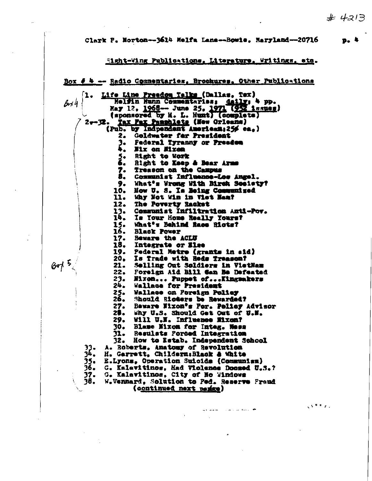$3588.74$ 

*Company of the Company of the Company* 

Clark F. Norton--3614 Melfa Lans--Bowie. Maryland--20716

Eight-Wing Publications, Literature, Writings, etc.

Box # 4 -- Radio Commentaries, Brochures, Other Publications 1. Life Line Presdom Talks (Dallas, Tex) Nelfin Hunn Commentarias: daily; 4 pp.<br>Nay 12. 1968- June 25. 1971 (952 issues)<br>(sponsored by H. L. Hunt) (complete)  $24$ 2-32. Tax Pax Passalets (New Orleans)<br>(Pub. by Indpendent American; 25% ca.) 2. Goldwater far President 3. Federal Tyranny or Preedom 4. Mix on Mixon 5. Right to Work<br>6. Right to Keep & Bear Arms 7. Treason on the Campus 8. Communist Influence-Los Angel. 9. What's Wrong With Birch Society? 10. How U. S. Is Being Communized 11. Why Not Win in Vist Neaf 12. The Poverty Racket 13. Communist Infiltration Anti-Pov.<br>14. Is Your Home Really Yours?<br>15. What's Behind Race Ricts? **Black Power** 16.  $17.$ Beware the ACLU 18. Integrate or Else 19. Pederal Metro (grants in sid) Is Trade with Reds Treason? 20.  $21.$ Selling Out Soldiers in VietNam 22. Foreign A1d B111 San Be Defeated 23. Mixon... Puppet of...!<br>24. Wallace for President Nixon... Puppet of... Kingmakers 25. Wallace on Foreign Policy 26. Should Ricters be Rewarded? 27. Baware Nixon's For. Polley Advisor 28. Why U.S. Should Get Out of U.M. 29. Will U.K. Influence Mixcn? 30. Blame Mixon for Intag. Mass<br>31. Resulats Porced Integration<br>32. How to Estab. Independent School A. Roberts, Anatomy of Revolution 34. H. Garrett, Childern:Black & White 35. E.Lyons, Operation Suicide (Communism) 36. G. Kalavitinos, Had Violance Docsed U.S.? 37. G. Kalavitinos, City of No Windows  $38.$ W.Vennard, Solution to Ped. Reserve Praud (continued next perize)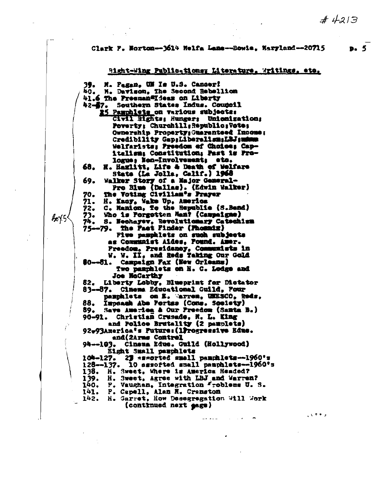$\mathcal{A}$  . As a set of  $\mathcal{A}$ 

Clark F. Norton--3614 Helfa Lame--Bowie, Harrland--20715

#### Right-Wing Public-tions: Literature. Writings, etc.

M. Pagan. UM Is U.S. Cancer! 39.  $60<sub>o</sub>$ M. Davison, The Second Rebellion 41.6 The Preeman#Ideas on Liberty 42-57. Southern States Indus. Council 25 Pauchlets on various subjects: Civil Bights: Hunger: Unionization: Poverty: Churchill; Republic; Vote; Ownership Property; Guaranteed Income; Credibility GapgLiberalism;LBJ; minus Welfarists: Preedom of Choice: Capitalism: Constitution; Past is Prologue: Non-Involvement: etc. H. Hazlitt, Life & Death of Welfare 68. State (La Jolla, Calif.) 1968 69. Walker Story of a Major General-Pro Blue (Dallac). (Edwin Walker) 70. The Voting Civilian's Prayer 71. H. Kacy, Wake Up, America 72. C. Hanion, To the Republic (S.Bend) ŻJ.<br>74. Who is Porgotten Man? (Campaigne) S. Nechayev, Revolutionary Catechism 75--79. Piwe pamphlets on such subjects as Communist Aides, Pound. Amer. Preedom, Presidency, Communists in W. W. II. and Reds Taking Our Gold 80--81. Campaign Fax (New Orleans) Two pamphlets on H. C. Lodge and **Joe McCarthy** 82. Liberty Lobby, Blueprint for Distator 83--87. Cimema Educational Cuild, Four pamphlets on E. Marren, UNESCO, Reds. Impeach Abe Portes (Cons. Society) 88. 89. Save America & Our Preedom (Santa B.) 90-91. Christian Crusade, N. L. King and Police Brutality (2 pasplets) 92-93America's Future: (1Progressive Edus. and(2Arms Control 94--103. Cinema Educ. Guild (Hollywood) Eight Small pamphlets 104-127. 23 samorted small pamphlets-1960's 128--137. 10 assofted small pamphlats--1960's 138. H. Sweet, Where is America Headed? 139. H. Sweet, Agree with LBJ and Warren? P. Vaughan, Integration Froblems U. S. 140. 141. P. Capell, Alan N. Cranston<br>142. H. Garret, How Desegregation Will Work (continued next gage)

 $4015$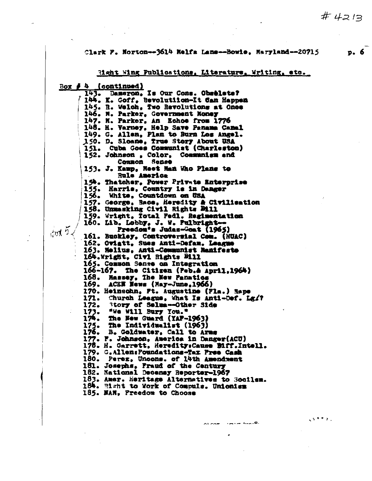$p.6$ 

### Clark P. Norton--3614 Nelfa Lane--Bowie, Maryland--20715

<u>Right Wing Publications, Literature, Writing, etc.</u>  $\frac{Boz}{f}$   $\frac{f}{f}$ (continued) 143. Dameron. Is Our Cons. Obselete? 144. K. Goff, Bevolutiion-It Can Happen 145. B. Welch, Two Revolutions at Ones 146. N. Parker, Government Money 147. M. Parker, An Echoe from 1776 148. H. Varney, Help Save Panama Canal 149. G. Allen, Plan to Burn Los Angel. 150. D. Sloane, True Story About USA 151. Cuba Goes Communist (Charleston) 152. Johnson, Color. Communism and Сонной Зедее 153. J. Kaup, Neet Man Who Plans to Rule America 154. Thatcher, Power Private Enterprise<br>155. Harris, Country is in Danger<br>156. White, Countdown on USA 157. George, Bace, Heredity & Civilisation<br>158. Unmasking Civil Rights Bill 159. Wright, Total Fedl. Regimentation 160. Lib. Lobby, J. W. Pulbright $tan 5$ Preedon's Judas-Goat (1965) 161. Buckley, Controversial Com. (HUAC) 162. Oviatt, Sues Anti-Defam. League 163. Nelius, Anti-Communist Nanifeste 164.Wright, Civi Rights Bill 165. Common Sense on Integration 166-167. The Citizen (Peb.A April, 1964) 168. Hassey, The New Panatics 169. ACEN News (May-June, 1966) 170. Heinschn, Ft. Augustine (Fla.) Hape Church League, What Is Anti-Def. Lg/? 171. 172. 173. The New Guard (YAF-1963) 174.  $175.$ The Individualist (1963) 176. B. Goldwater, Call to Arms 177. F. Johnson, America in Danger(ACU) 178. H. Garrett, Heredity: Cause Biff. Intell. 179. C.Allen: Poundations-Tax Pree Cash 180. Perez, Uncons. of 14th Amendment 181. Josephs. Fraud of the Century 182. National Decensy Reporter-1967 183. Amer. Heritage Alternatives to Socilem. 184. Hight to York of Compuls. Unionism 185. NAM. Preedom to Choose

Other Course Grand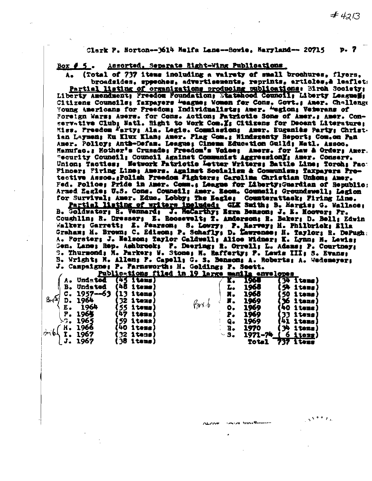Clark P. Horton--3614 Malfa Lane--Bowie, Maryland-- 20715 p. 7

 $Box 5.$ Assorted, Separate Right-Wing Publications

(Total of 737 items including a vairety of small brochures. flyers. broadsides, speeches, advertisements, reprints, articles, à lesflets Partial listing of crganizations producing publications: Birch Society; Liberty Amendment; Freedom Foundation; Statehood Council; Liberty Leagueli; Citizens Councils; Taxpayers Weague; Women fer Cons. Covt.; Amer. Challenge Young Americans for Freedom; Individualists; Amer. "egion; Vemerans of Foreign Wars; Amers. for Cons. Action; Patrictic Sons of Amer.; Amer. Conservative Club; Natl. Hight to Work Com. I: Citizens for Decent Literature: Miss. Preedom Party: Ala. Legis. Commission: Amer. Eugeniès Party; Christ. ian Laymen; Ku Klux Klan; Amer. Plag Com.; Mindszenty Report; Com.on Pan Amer. Policy: Anth-Defam. League: Cinema Education Guild: Matl. Assoc. Manufac.; Mother's Crusade; Freedom's Voice; Amers. for Law & Order; Amer. Recurity Council: Council Against Communist AggressionX: Amer. Conserv. Union; Tacties; Network Patrictic Letter Writers; Battle Line; Torch: Pac: Pincer: Firing Line; Amers. Against Socialism & Communism: Taxpayers Pretective Assoc.:Polish Freedom Fighters: Carolina Christian Unkon: Amer. Fed. Police: Pride in Amer. Comm.: League for Liberty:Guardian of Republic: Armed Eagle: U.S. Comm. Council; Amer. Boom. Council: Groundswell; Legion for Survival; Amer. Educ. Lobby; The Eagle: Counterattack: Firing Line.

Partial listing of writers included: GLE Smith; B. Margie; G. Wallace; B. Goldwater; R. Vennard; J. ReCarthy; Ezra Benson; J. E. Hoover; Pr. Coughlin: R. Dresser; E. Roosevelt; T. Anderson; R. Baker; D. Bell; Edwin Walker; Garrett; E. Pearson; S. Lowry; P. Harvey; H. Philbrick; Ella Graham; M. Brown; C. Edison; P. Schafly; D. Lawrense; H. Taylor; R. DePugh; A. Porster: J. Melson: Taylor Caldwell; Alice Widner; K. Lynn; N. Lewis; Gen. Lane; Rep. Ashbrook; P. Daering; R. Orrell; L. Adams; P. Courtney; S. Thurmond: N. Parker; N. Stone; H. Rafferty; P. Lewis III; S. Evans; B. Wright; N. Allen; F. Capell; G. S. Banson; A. Roberts; A. Wedemeyer; J. Campaigne: P. Farnsworth: H. Golding: P. Seett.

et inne@economic

|           |               |                      |  | <u> Publications filed in 19 large manila envelopes</u> |           |      |              |     |                      |  |
|-----------|---------------|----------------------|--|---------------------------------------------------------|-----------|------|--------------|-----|----------------------|--|
|           | Undated       | $(45$ items)         |  |                                                         |           | 1965 |              |     | $(30 \text{ times})$ |  |
| в.        | Undated       | (48 items)           |  |                                                         | L.        | 1968 |              |     | 54 items)            |  |
| С.        | $1957 - 63$   | $(13 \text{ items})$ |  |                                                         | x.        | 1968 |              | -50 | l tens)              |  |
| 325<br>D. | 1964          | <b>(32 items)</b>    |  |                                                         | r.        | 1969 |              |     | 36 itens)            |  |
| E.        | 1964          | <b>[55 items]</b>    |  | (hori o                                                 | 0.        | 1969 |              |     | (40 items)           |  |
| Р.        | 1965          | (47 itens)           |  |                                                         | P.        | 1969 |              |     | items)               |  |
|           | $\sim$ . 1965 | (59 items)           |  |                                                         | Q,        | 1969 |              |     | 1tems                |  |
|           | H. 1966       | (4 <b>0 items)</b>   |  |                                                         | B.        | 1970 |              | 34  | <b>items</b>         |  |
| 46        | I. 1967       | (32 items)           |  |                                                         | $\sim$ 3. |      | 1971-74      | о   | <u>iters</u>         |  |
|           | 1967          | $38$ items)          |  |                                                         |           |      | <b>Total</b> |     | 737 items            |  |

 $#4213$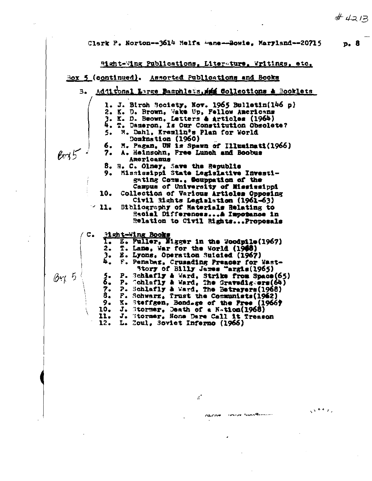#### Clark P. Norton--3614 Selfa -ane--Bowie, Maryland--20715 D. 8

Right-Wing Publications, Liter-ture, Writings, etc. Box 5 (continued). Assorted Publications and Books Additional Large Bamphletz, iii Collections & Booklets  $\overline{B}$ 1. J. Birch Society, Nov. 1965 Bulletin(146 p) 2. K. D. Brown, Wake Up, Fellow Americans<br>3. K. D. Bsown, Latters & Articles (1964)<br>4. T. Dameron, Is Our Constitution Obsolete? M. Dahl, Kremlin's Plan for World 5. Domination (1960) 6. M. Pagan. UN is Spawn of Illuminati(1966) A. Heinschn. Free Lunch and Boobus  $Bx5$  $7.$ Americanus 8. H. C. Olney, Save the Republic Mississippi State Legislative Investi-9. gating Comm.. Souppation of the Campus of University of Mississippi 10. Collection of Various Articles Opposing Civil Rights Legislation (1961-63)  $\geq 11$ Sibliography of Naterials Relating to Hacial Differences... A Impodence in Relation to Civil Rights...Proposals Hight-Wing Books  $c_{\bullet}$ E. Fuller, Nigger in the Woodpile (1967) T. Lane. War for the World (1968)  $2.$ E. Lyons, Operation Suicied (1967) 3. F. Pensbaz, Crusading Preacer for Wast-Story of Billy James "argis(1965) P. Schlafly & Ward, Strike from Space(65)<br>P. Cchlafly & Ward, The Gravedigers(64)<br>P. Schlafly & Ward, The Betrayers(1968)  $BrX$  5 5. 6. 7. 8. F. Schwarz, Trust the Communists(1962)  $9.$ K. Steffgen, Bondage of the Pree (1966) J. Stormer, Death of a Nation(1968) 10. 11. J. Stormer, None Dare Call it Treason  $12.$ L. Zoul, Soviet Inferno (1966)

 $\mathcal{L}^{\bullet}$ 

**CONTRACTOR** 

 $5 + 4 + 1$ 

 $# 4213$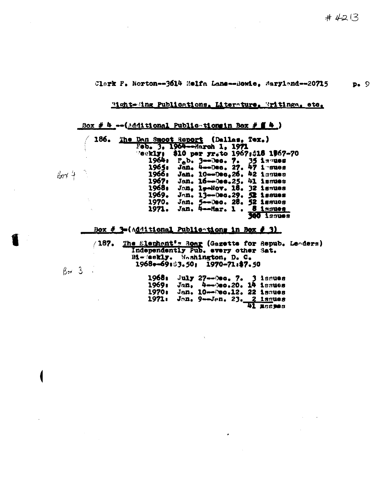#### Clark F. Norton--3614 Melfa Lane--Bowie, Maryland--20715  $p_{\bullet}$  9

## Right-Ming Publications, Literature, Writings, etc.

### Box # 4 -- (Additional Public-tionsin Box #  $\mathbf{f}$  4 )

|    | 186. |  |       | The Dan Smoot Report (Dallas, Tex.)             |  |            |  |
|----|------|--|-------|-------------------------------------------------|--|------------|--|
|    |      |  |       | Feb. 3, 1964--March 1, 1971                     |  |            |  |
|    |      |  |       | <b>Teekly: \$10 per yr.to 1967;\$18 1967-70</b> |  |            |  |
|    |      |  |       | 1964: F <sub>a</sub> b. 3--Dec. 7. 35 issues    |  |            |  |
|    |      |  |       | 1965: Jan. 4--Dec. 27. 47 i sues                |  |            |  |
| ĥ, |      |  |       | 1966: Jan. 10--Dec.26, 42 issues                |  |            |  |
|    |      |  | 1967. | Jan. 16--0es.25. 41 issues                      |  |            |  |
|    |      |  | 1968. | Jan. 1,-Nov. 18. 32 issues                      |  |            |  |
|    |      |  | 1969. | Jan. 13--000.29. 52 issues                      |  |            |  |
|    |      |  | 1970. | Jan. 5--Dec. 28. 52 issues                      |  |            |  |
|    |      |  | 1971. | Jan. 4--Mar. 1. 8 issues                        |  |            |  |
|    |      |  |       |                                                 |  | seucai 000 |  |

## Box # 3-(Additional Publications in Box # 3)

(187. The Slephent's Roar (Gazette for Repub. Leaders)<br>Independently Pub. every other Sat.<br>Bi-gekly. Hashington, D.C. 1968-69:33.50: 1970-71:\$7.50

|        | 1968: July 27--Des. 7. 3 issues |           |
|--------|---------------------------------|-----------|
| 1969 r | Jan. 4--0ec.20. 14 issues       |           |
| 1970.  | Jan. 10--Dec.12. 22 issues      |           |
| 1971.  | Jon. 9-Jen. 23. 2 issues        |           |
|        |                                 | 41 дзярэз |

 $\mathcal{L}$ 

 $6014$ 

 $B<sub>27</sub>$  3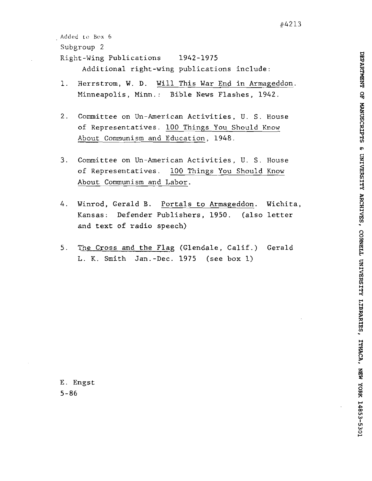```
Added to Box 6
Subgroup 2 
Right-Wing Publications 1942-1975 
      Additional right-wing publications include:
```
- 1. Herrstrom, W. D. Will This War End in Armageddon. Minneapolis, Minn.: Bible News Flashes, 1942.
- 2. Committee on Un-American Activities, U. S. House of Representatives. 100 Things You Should Know About Communism and Education, 1948.
- 3. Committee on Un-American Activities, U. S. House of Representatives. 100 Things You Should Know About Communism and Labor.
- 4. Winrod, Gerald B. Portals to Armageddon. Wichita, Kansas: Defender Publishers, 1950. (also letter and text of radio speech)
- 5. **Be** Cross and the Flag (Glendale, Calif.) Gerald L. K. Smith Jan.-Dec. 1975 (see box 1)

E. Engst 5-86